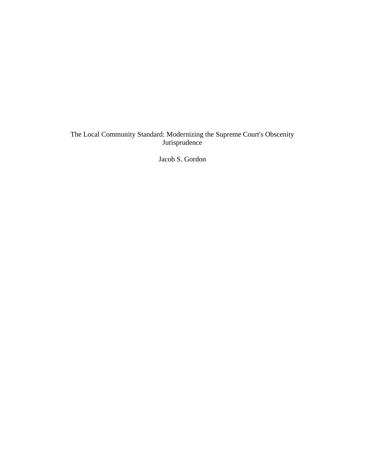# The Local Community Standard: Modernizing the Supreme Court's Obscenity Jurisprudence

Jacob S. Gordon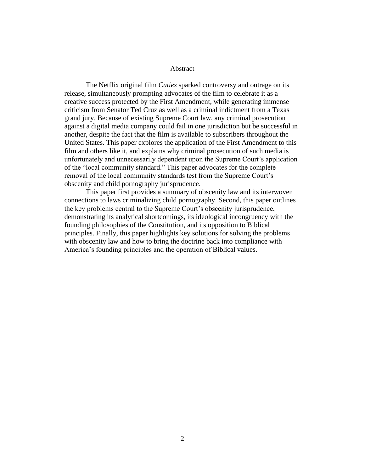#### Abstract

The Netflix original film *Cuties* sparked controversy and outrage on its release, simultaneously prompting advocates of the film to celebrate it as a creative success protected by the First Amendment, while generating immense criticism from Senator Ted Cruz as well as a criminal indictment from a Texas grand jury. Because of existing Supreme Court law, any criminal prosecution against a digital media company could fail in one jurisdiction but be successful in another, despite the fact that the film is available to subscribers throughout the United States. This paper explores the application of the First Amendment to this film and others like it, and explains why criminal prosecution of such media is unfortunately and unnecessarily dependent upon the Supreme Court's application of the "local community standard." This paper advocates for the complete removal of the local community standards test from the Supreme Court's obscenity and child pornography jurisprudence.

This paper first provides a summary of obscenity law and its interwoven connections to laws criminalizing child pornography. Second, this paper outlines the key problems central to the Supreme Court's obscenity jurisprudence, demonstrating its analytical shortcomings, its ideological incongruency with the founding philosophies of the Constitution, and its opposition to Biblical principles. Finally, this paper highlights key solutions for solving the problems with obscenity law and how to bring the doctrine back into compliance with America's founding principles and the operation of Biblical values.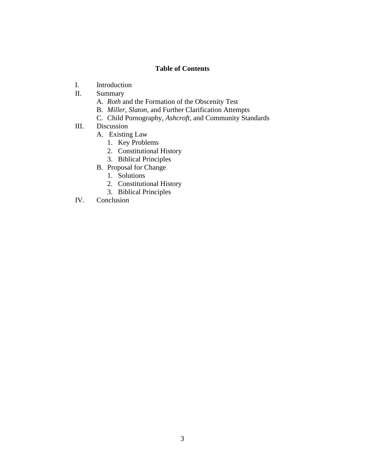# **Table of Contents**

- I. Introduction
- II. Summary
	- A. *Roth* and the Formation of the Obscenity Test
	- B. *Miller, Slaton,* and Further Clarification Attempts
	- C. Child Pornography, *Ashcroft*, and Community Standards
- III. Discussion
	- A. Existing Law
		- 1. Key Problems
		- 2. Constitutional History
		- 3. Biblical Principles
	- B. Proposal for Change
		- 1. Solutions
		- 2. Constitutional History
		- 3. Biblical Principles
- IV. Conclusion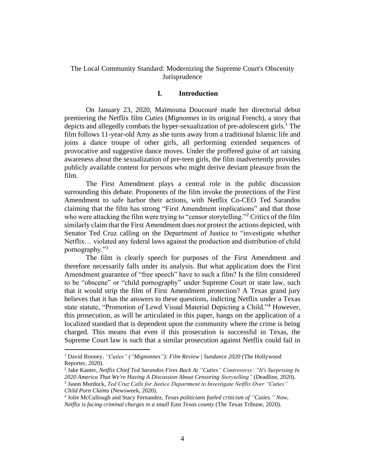# The Local Community Standard: Modernizing the Supreme Court's Obscenity Jurisprudence

#### **I. Introduction**

On January 23, 2020, Maïmouna Doucouré made her directorial debut premiering the Netflix film *Cuties* (*Mignonnes* in its original French), a story that depicts and allegedly combats the hyper-sexualization of pre-adolescent girls.<sup>1</sup> The film follows 11-year-old Amy as she turns away from a traditional Islamic life and joins a dance troupe of other girls, all performing extended sequences of provocative and suggestive dance moves. Under the proffered guise of art raising awareness about the sexualization of pre-teen girls, the film inadvertently provides publicly available content for persons who might derive deviant pleasure from the film.

The First Amendment plays a central role in the public discussion surrounding this debate. Proponents of the film invoke the protections of the First Amendment to safe harbor their actions, with Netflix Co-CEO Ted Sarandos claiming that the film has strong "First Amendment implications" and that those who were attacking the film were trying to "censor storytelling."<sup>2</sup> Critics of the film similarly claim that the First Amendment does *not* protect the actions depicted, with Senator Ted Cruz calling on the Department of Justice to "investigate whether Netflix… violated any federal laws against the production and distribution of child pornography."<sup>3</sup>

The film is clearly speech for purposes of the First Amendment and therefore necessarily falls under its analysis. But what application does the First Amendment guarantee of "free speech" have to such a film? Is the film considered to be "obscene" or "child pornography" under Supreme Court or state law, such that it would strip the film of First Amendment protection? A Texas grand jury believes that it has the answers to these questions, indicting Netflix under a Texas state statute, "Promotion of Lewd Visual Material Depicting a Child."<sup>4</sup> However, this prosecution, as will be articulated in this paper, hangs on the application of a localized standard that is dependent upon the community where the crime is being charged. This means that even if this prosecution is successful in Texas, the Supreme Court law is such that a similar prosecution against Netflix could fail in

<sup>&</sup>lt;sup>1</sup> David Rooney, "Cuties" ("Mignonnes"): Film Review | Sundance 2020 (The Hollywood Reporter, 2020).

<sup>2</sup> Jake Kanter, *Netflix Chief Ted Sarandos Fires Back At "Cuties" Controversy: "It's Surprising In 2020 America That We're Having A Discussion About Censoring Storytelling"* (Deadline, 2020). 3 Jason Murdock, *Ted Cruz Calls for Justice Department to Investigate Netflix Over "Cuties" Child Porn Claims* (Newsweek, 2020).

<sup>4</sup> Jolie McCullough and Stacy Fernandez, *Texas politicians fueled criticism of "Cuties." Now, Netflix is facing criminal charges in a small East Texas county* (The Texas Tribune, 2020).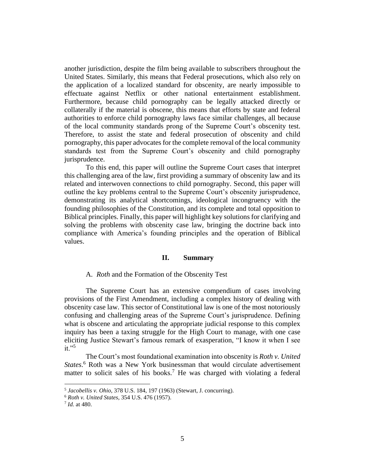another jurisdiction, despite the film being available to subscribers throughout the United States. Similarly, this means that Federal prosecutions, which also rely on the application of a localized standard for obscenity, are nearly impossible to effectuate against Netflix or other national entertainment establishment. Furthermore, because child pornography can be legally attacked directly or collaterally if the material is obscene, this means that efforts by state and federal authorities to enforce child pornography laws face similar challenges, all because of the local community standards prong of the Supreme Court's obscenity test. Therefore, to assist the state and federal prosecution of obscenity and child pornography, this paper advocates for the complete removal of the local community standards test from the Supreme Court's obscenity and child pornography jurisprudence.

To this end, this paper will outline the Supreme Court cases that interpret this challenging area of the law, first providing a summary of obscenity law and its related and interwoven connections to child pornography. Second, this paper will outline the key problems central to the Supreme Court's obscenity jurisprudence, demonstrating its analytical shortcomings, ideological incongruency with the founding philosophies of the Constitution, and its complete and total opposition to Biblical principles. Finally, this paper will highlight key solutions for clarifying and solving the problems with obscenity case law, bringing the doctrine back into compliance with America's founding principles and the operation of Biblical values.

#### **II. Summary**

## A. *Roth* and the Formation of the Obscenity Test

The Supreme Court has an extensive compendium of cases involving provisions of the First Amendment, including a complex history of dealing with obscenity case law. This sector of Constitutional law is one of the most notoriously confusing and challenging areas of the Supreme Court's jurisprudence. Defining what is obscene and articulating the appropriate judicial response to this complex inquiry has been a taxing struggle for the High Court to manage, with one case eliciting Justice Stewart's famous remark of exasperation, "I know it when I see  $it.$ "<sup>5</sup>

The Court's most foundational examination into obscenity is *Roth v. United States*. <sup>6</sup> Roth was a New York businessman that would circulate advertisement matter to solicit sales of his books.<sup>7</sup> He was charged with violating a federal

<sup>5</sup> *Jacobellis v. Ohio*, 378 U.S. 184, 197 (1963) (Stewart, J. concurring).

<sup>6</sup> *Roth v. United States*, 354 U.S. 476 (1957).

<sup>7</sup> *Id.* at 480.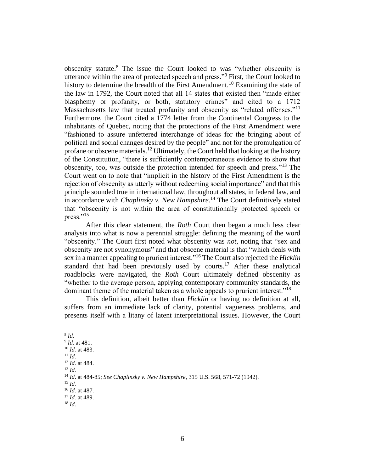obscenity statute. <sup>8</sup> The issue the Court looked to was "whether obscenity is utterance within the area of protected speech and press."<sup>9</sup> First, the Court looked to history to determine the breadth of the First Amendment.<sup>10</sup> Examining the state of the law in 1792, the Court noted that all 14 states that existed then "made either blasphemy or profanity, or both, statutory crimes" and cited to a 1712 Massachusetts law that treated profanity and obscenity as "related offenses."<sup>11</sup> Furthermore, the Court cited a 1774 letter from the Continental Congress to the inhabitants of Quebec, noting that the protections of the First Amendment were "fashioned to assure unfettered interchange of ideas for the bringing about of political and social changes desired by the people" and not for the promulgation of profane or obscene materials.<sup>12</sup> Ultimately, the Court held that looking at the history of the Constitution, "there is sufficiently contemporaneous evidence to show that obscenity, too, was outside the protection intended for speech and press."<sup>13</sup> The Court went on to note that "implicit in the history of the First Amendment is the rejection of obscenity as utterly without redeeming social importance" and that this principle sounded true in international law, throughout all states, in federal law, and in accordance with *Chaplinsky v. New Hampshire*. <sup>14</sup> The Court definitively stated that "obscenity is not within the area of constitutionally protected speech or press."<sup>15</sup>

After this clear statement, the *Roth* Court then began a much less clear analysis into what is now a perennial struggle: defining the meaning of the word "obscenity." The Court first noted what obscenity was *not*, noting that "sex and obscenity are not synonymous" and that obscene material is that "which deals with sex in a manner appealing to prurient interest."<sup>16</sup> The Court also rejected the *Hicklin*  standard that had been previously used by courts.<sup>17</sup> After these analytical roadblocks were navigated, the *Roth* Court ultimately defined obscenity as "whether to the average person, applying contemporary community standards, the dominant theme of the material taken as a whole appeals to prurient interest."<sup>18</sup>

This definition, albeit better than *Hicklin* or having no definition at all, suffers from an immediate lack of clarity, potential vagueness problems, and presents itself with a litany of latent interpretational issues. However, the Court

<sup>8</sup> *Id.* 

<sup>9</sup> *Id.* at 481.

<sup>10</sup> *Id.* at 483. <sup>11</sup> *Id.*

<sup>12</sup> *Id.* at 484.

 $^{13}$  *Id.* 

<sup>14</sup> *Id*. at 484-85; *See Chaplinsky v. New Hampshire*, 315 U.S. 568, 571-72 (1942).

<sup>15</sup> *Id.*

<sup>16</sup> *Id.* at 487.

<sup>17</sup> *Id.* at 489.

 $18$  *Id.*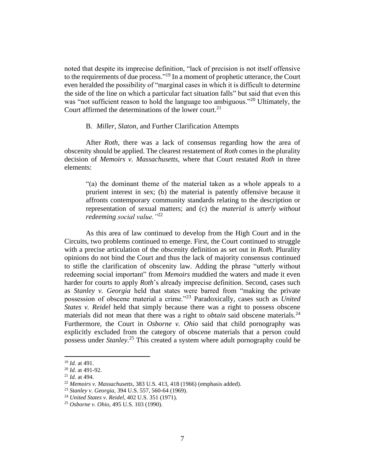noted that despite its imprecise definition, "lack of precision is not itself offensive to the requirements of due process."<sup>19</sup> In a moment of prophetic utterance, the Court even heralded the possibility of "marginal cases in which it is difficult to determine the side of the line on which a particular fact situation falls" but said that even this was "not sufficient reason to hold the language too ambiguous."<sup>20</sup> Ultimately, the Court affirmed the determinations of the lower court.<sup>21</sup>

### B. *Miller*, *Slaton*, and Further Clarification Attempts

After *Roth*, there was a lack of consensus regarding how the area of obscenity should be applied. The clearest restatement of *Roth* comes in the plurality decision of *Memoirs v. Massachusetts,* where that Court restated *Roth* in three elements:

"(a) the dominant theme of the material taken as a whole appeals to a prurient interest in sex; (b) the material is patently offensive because it affronts contemporary community standards relating to the description or representation of sexual matters; and (c) the *material is utterly without redeeming social value."*<sup>22</sup>

As this area of law continued to develop from the High Court and in the Circuits, two problems continued to emerge. First, the Court continued to struggle with a precise articulation of the obscenity definition as set out in *Roth*. Plurality opinions do not bind the Court and thus the lack of majority consensus continued to stifle the clarification of obscenity law. Adding the phrase "utterly without redeeming social important" from *Memoirs* muddied the waters and made it even harder for courts to apply *Roth*'s already imprecise definition. Second, cases such as *Stanley v. Georgia* held that states were barred from "making the private possession of obscene material a crime."<sup>23</sup> Paradoxically, cases such as *United States v. Reidel* held that simply because there was a right to possess obscene materials did not mean that there was a right to *obtain* said obscene materials.<sup>24</sup> Furthermore, the Court in *Osborne v. Ohio* said that child pornography was explicitly excluded from the category of obscene materials that a person could possess under *Stanley*. <sup>25</sup> This created a system where adult pornography could be

<sup>19</sup> *Id.* at 491.

<sup>20</sup> *Id.* at 491-92.

<sup>21</sup> *Id.* at 494.

<sup>22</sup> *Memoirs v. Massachusetts*, 383 U.S. 413, 418 (1966) (emphasis added).

<sup>23</sup> *Stanley v. Georgia*, 394 U.S. 557, 560-64 (1969).

<sup>24</sup> *United States v. Reidel*, 402 U.S. 351 (1971).

<sup>25</sup> *Osborne v. Ohio*, 495 U.S. 103 (1990).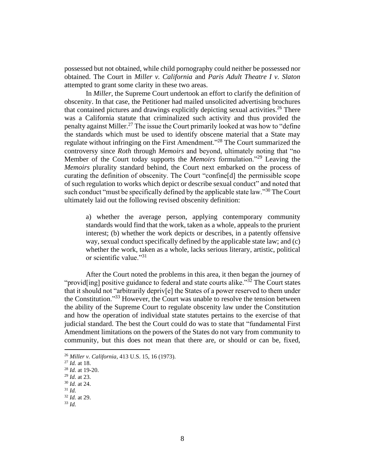possessed but not obtained, while child pornography could neither be possessed nor obtained. The Court in *Miller v. California* and *Paris Adult Theatre I v. Slaton*  attempted to grant some clarity in these two areas.

In *Miller*, the Supreme Court undertook an effort to clarify the definition of obscenity. In that case, the Petitioner had mailed unsolicited advertising brochures that contained pictures and drawings explicitly depicting sexual activities.<sup>26</sup> There was a California statute that criminalized such activity and thus provided the penalty against Miller.<sup>27</sup> The issue the Court primarily looked at was how to "define the standards which must be used to identify obscene material that a State may regulate without infringing on the First Amendment."<sup>28</sup> The Court summarized the controversy since *Roth* through *Memoirs* and beyond, ultimately noting that "no Member of the Court today supports the *Memoirs* formulation."<sup>29</sup> Leaving the *Memoirs* plurality standard behind, the Court next embarked on the process of curating the definition of obscenity. The Court "confine[d] the permissible scope of such regulation to works which depict or describe sexual conduct" and noted that such conduct "must be specifically defined by the applicable state law."<sup>30</sup> The Court ultimately laid out the following revised obscenity definition:

a) whether the average person, applying contemporary community standards would find that the work, taken as a whole, appeals to the prurient interest; (b) whether the work depicts or describes, in a patently offensive way, sexual conduct specifically defined by the applicable state law; and (c) whether the work, taken as a whole, lacks serious literary, artistic, political or scientific value."31

After the Court noted the problems in this area, it then began the journey of "provid[ing] positive guidance to federal and state courts alike."<sup>32</sup> The Court states that it should not "arbitrarily depriv[e] the States of a power reserved to them under the Constitution."<sup>33</sup> However, the Court was unable to resolve the tension between the ability of the Supreme Court to regulate obscenity law under the Constitution and how the operation of individual state statutes pertains to the exercise of that judicial standard. The best the Court could do was to state that "fundamental First Amendment limitations on the powers of the States do not vary from community to community, but this does not mean that there are, or should or can be, fixed,

<sup>26</sup> *Miller v. California*, 413 U.S. 15, 16 (1973).

<sup>27</sup> *Id.* at 18.

<sup>28</sup> *Id.* at 19-20.

<sup>29</sup> *Id.* at 23.

<sup>30</sup> *Id.* at 24.

 $31$  *Id.* 

<sup>32</sup> *Id.* at 29.

<sup>33</sup> *Id.*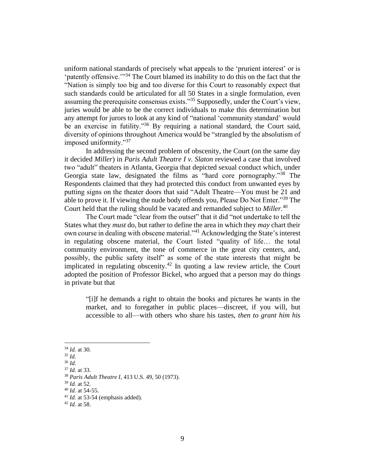uniform national standards of precisely what appeals to the 'prurient interest' or is 'patently offensive.'"<sup>34</sup> The Court blamed its inability to do this on the fact that the "Nation is simply too big and too diverse for this Court to reasonably expect that such standards could be articulated for all 50 States in a single formulation, even assuming the prerequisite consensus exists."<sup>35</sup> Supposedly, under the Court's view, juries would be able to be the correct individuals to make this determination but any attempt for jurors to look at any kind of "national 'community standard' would be an exercise in futility."<sup>36</sup> By requiring a national standard, the Court said, diversity of opinions throughout America would be "strangled by the absolutism of imposed uniformity."<sup>37</sup>

In addressing the second problem of obscenity, the Court (on the same day it decided *Miller*) in *Paris Adult Theatre I v. Slaton* reviewed a case that involved two "adult" theaters in Atlanta, Georgia that depicted sexual conduct which, under Georgia state law, designated the films as "hard core pornography."<sup>38</sup> The Respondents claimed that they had protected this conduct from unwanted eyes by putting signs on the theater doors that said "Adult Theatre—You must be 21 and able to prove it. If viewing the nude body offends you, Please Do Not Enter."<sup>39</sup> The Court held that the ruling should be vacated and remanded subject to *Miller*. 40

The Court made "clear from the outset" that it did "not undertake to tell the States what they *must* do, but rather to define the area in which they *may* chart their own course in dealing with obscene material."<sup>41</sup> Acknowledging the State's interest in regulating obscene material, the Court listed "quality of life… the total community environment, the tone of commerce in the great city centers, and, possibly, the public safety itself" as some of the state interests that might be implicated in regulating obscenity.<sup>42</sup> In quoting a law review article, the Court adopted the position of Professor Bickel, who argued that a person may do things in private but that

"[i]f he demands a right to obtain the books and pictures he wants in the market, and to foregather in public places—discreet, if you will, but accessible to all—with others who share his tastes, *then to grant him his* 

<sup>34</sup> *Id.* at 30.

<sup>35</sup> *Id.* 

<sup>36</sup> *Id.* 

<sup>37</sup> *Id.* at 33.

<sup>38</sup> *Paris Adult Theatre I*, 413 U.S. 49, 50 (1973).

<sup>39</sup> *Id.* at 52.

<sup>40</sup> *Id.* at 54-55.

<sup>41</sup> *Id.* at 53-54 (emphasis added).

<sup>42</sup> *Id.* at 58.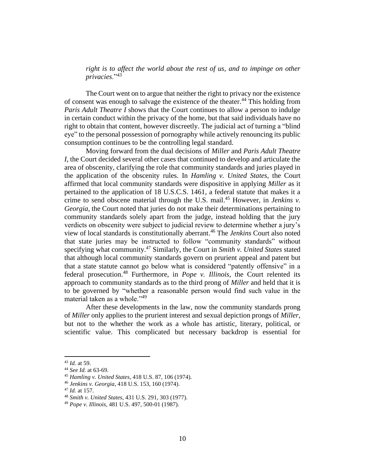*right is to affect the world about the rest of us, and to impinge on other privacies*."<sup>43</sup>

The Court went on to argue that neither the right to privacy nor the existence of consent was enough to salvage the existence of the theater.<sup>44</sup> This holding from *Paris Adult Theatre I* shows that the Court continues to allow a person to indulge in certain conduct within the privacy of the home, but that said individuals have no right to obtain that content, however discreetly. The judicial act of turning a "blind eye" to the personal possession of pornography while actively renouncing its public consumption continues to be the controlling legal standard.

Moving forward from the dual decisions of *Miller* and *Paris Adult Theatre I*, the Court decided several other cases that continued to develop and articulate the area of obscenity, clarifying the role that community standards and juries played in the application of the obscenity rules. In *Hamling v. United States*, the Court affirmed that local community standards were dispositive in applying *Miller* as it pertained to the application of 18 U.S.C.S. 1461, a federal statute that makes it a crime to send obscene material through the U.S. mail. <sup>45</sup> However, in *Jenkins v. Georgia*, the Court noted that juries do not make their determinations pertaining to community standards solely apart from the judge, instead holding that the jury verdicts on obscenity were subject to judicial review to determine whether a jury's view of local standards is constitutionally aberrant.<sup>46</sup> The *Jenkins* Court also noted that state juries may be instructed to follow "community standards" without specifying what community.<sup>47</sup> Similarly, the Court in *Smith v. United States* stated that although local community standards govern on prurient appeal and patent but that a state statute cannot go below what is considered "patently offensive" in a federal prosecution. <sup>48</sup> Furthermore, in *Pope v. Illinois*, the Court relented its approach to community standards as to the third prong of *Miller* and held that it is to be governed by "whether a reasonable person would find such value in the material taken as a whole."<sup>49</sup>

After these developments in the law, now the community standards prong of *Miller* only applies to the prurient interest and sexual depiction prongs of *Miller*, but not to the whether the work as a whole has artistic, literary, political, or scientific value. This complicated but necessary backdrop is essential for

<sup>43</sup> *Id.* at 59.

<sup>44</sup> *See Id.* at 63-69.

<sup>45</sup> *Hamling v. United States*, 418 U.S. 87, 106 (1974).

<sup>46</sup> *Jenkins v. Georgia*, 418 U.S. 153, 160 (1974).

<sup>47</sup> *Id.* at 157.

<sup>48</sup> *Smith v. United States*, 431 U.S. 291, 303 (1977).

<sup>49</sup> *Pope v. Illinois*, 481 U.S. 497, 500-01 (1987).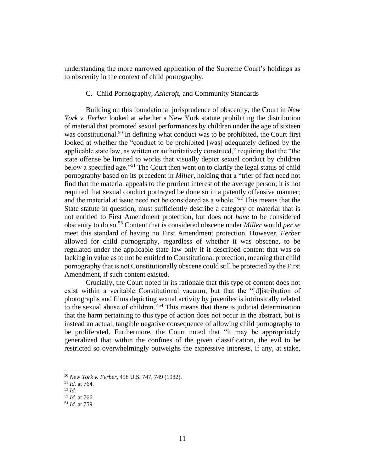understanding the more narrowed application of the Supreme Court's holdings as to obscenity in the context of child pornography.

## C. Child Pornography, *Ashcroft*, and Community Standards

Building on this foundational jurisprudence of obscenity, the Court in *New York v. Ferber* looked at whether a New York statute prohibiting the distribution of material that promoted sexual performances by children under the age of sixteen was constitutional.<sup>50</sup> In defining what conduct was to be prohibited, the Court first looked at whether the "conduct to be prohibited [was] adequately defined by the applicable state law, as written or authoritatively construed," requiring that the "the state offense be limited to works that visually depict sexual conduct by children below a specified age.<sup>"51</sup> The Court then went on to clarify the legal status of child pornography based on its precedent in *Miller*, holding that a "trier of fact need not find that the material appeals to the prurient interest of the average person; it is not required that sexual conduct portrayed be done so in a patently offensive manner; and the material at issue need not be considered as a whole."<sup>52</sup> This means that the State statute in question, must sufficiently describe a category of material that is not entitled to First Amendment protection, but does not *have* to be considered obscenity to do so.<sup>53</sup> Content that is considered obscene under *Miller* would *per se* meet this standard of having no First Amendment protection. However, *Ferber*  allowed for child pornography, regardless of whether it was obscene, to be regulated under the applicable state law only if it described content that was so lacking in value as to not be entitled to Constitutional protection, meaning that child pornography that is not Constitutionally obscene could still be protected by the First Amendment, if such content existed.

Crucially, the Court noted in its rationale that this type of content does not exist within a veritable Constitutional vacuum, but that the "[d]istribution of photographs and films depicting sexual activity by juveniles is intrinsically related to the sexual abuse of children."<sup>54</sup> This means that there is judicial determination that the harm pertaining to this type of action does not occur in the abstract, but is instead an actual, tangible negative consequence of allowing child pornography to be proliferated. Furthermore, the Court noted that "it may be appropriately generalized that within the confines of the given classification, the evil to be restricted so overwhelmingly outweighs the expressive interests, if any, at stake,

<sup>50</sup> *New York v. Ferber*, 458 U.S. 747, 749 (1982).

<sup>51</sup> *Id.* at 764.

<sup>52</sup> *Id.* 

<sup>53</sup> *Id.* at 766.

<sup>54</sup> *Id.* at 759.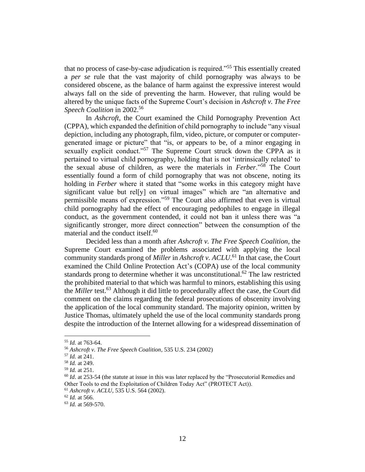that no process of case-by-case adjudication is required."<sup>55</sup> This essentially created a *per se* rule that the vast majority of child pornography was always to be considered obscene, as the balance of harm against the expressive interest would always fall on the side of preventing the harm. However, that ruling would be altered by the unique facts of the Supreme Court's decision in *Ashcroft v. The Free Speech Coalition* in 2002.<sup>56</sup>

In *Ashcroft*, the Court examined the Child Pornography Prevention Act (CPPA), which expanded the definition of child pornography to include "any visual depiction, including any photograph, film, video, picture, or computer or computergenerated image or picture" that "is, or appears to be, of a minor engaging in sexually explicit conduct."<sup>57</sup> The Supreme Court struck down the CPPA as it pertained to virtual child pornography, holding that is not 'intrinsically related' to the sexual abuse of children, as were the materials in *Ferber*."<sup>58</sup> The Court essentially found a form of child pornography that was not obscene, noting its holding in *Ferber* where it stated that "some works in this category might have significant value but rel[y] on virtual images" which are "an alternative and permissible means of expression."<sup>59</sup> The Court also affirmed that even is virtual child pornography had the effect of encouraging pedophiles to engage in illegal conduct, as the government contended, it could not ban it unless there was "a significantly stronger, more direct connection" between the consumption of the material and the conduct itself.<sup>60</sup>

Decided less than a month after *Ashcroft v. The Free Speech Coalition*, the Supreme Court examined the problems associated with applying the local community standards prong of *Miller* in *Ashcroft v. ACLU*. <sup>61</sup> In that case, the Court examined the Child Online Protection Act's (COPA) use of the local community standards prong to determine whether it was unconstitutional.<sup>62</sup> The law restricted the prohibited material to that which was harmful to minors, establishing this using the *Miller* test.<sup>63</sup> Although it did little to procedurally affect the case, the Court did comment on the claims regarding the federal prosecutions of obscenity involving the application of the local community standard. The majority opinion, written by Justice Thomas, ultimately upheld the use of the local community standards prong despite the introduction of the Internet allowing for a widespread dissemination of

<sup>55</sup> *Id.* at 763-64.

<sup>56</sup> *Ashcroft v. The Free Speech Coalition*, 535 U.S. 234 (2002)

<sup>57</sup> *Id.* at 241.

<sup>58</sup> *Id.* at 249.

<sup>59</sup> *Id.* at 251.

<sup>&</sup>lt;sup>60</sup> *Id.* at 253-54 (the statute at issue in this was later replaced by the "Prosecutorial Remedies and Other Tools to end the Exploitation of Children Today Act" (PROTECT Act)).

<sup>61</sup> *Ashcroft v. ACLU*, 535 U.S. 564 (2002).

<sup>62</sup> *Id.* at 566.

<sup>63</sup> *Id.* at 569-570.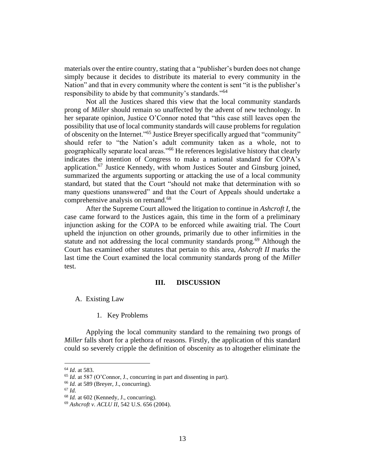materials over the entire country, stating that a "publisher's burden does not change simply because it decides to distribute its material to every community in the Nation" and that in every community where the content is sent "it is the publisher's responsibility to abide by that community's standards."<sup>64</sup>

Not all the Justices shared this view that the local community standards prong of *Miller* should remain so unaffected by the advent of new technology. In her separate opinion, Justice O'Connor noted that "this case still leaves open the possibility that use of local community standards will cause problems for regulation of obscenity on the Internet."<sup>65</sup> Justice Breyer specifically argued that "community" should refer to "the Nation's adult community taken as a whole, not to geographically separate local areas."<sup>66</sup> He references legislative history that clearly indicates the intention of Congress to make a national standard for COPA's application.<sup>67</sup> Justice Kennedy, with whom Justices Souter and Ginsburg joined, summarized the arguments supporting or attacking the use of a local community standard, but stated that the Court "should not make that determination with so many questions unanswered" and that the Court of Appeals should undertake a comprehensive analysis on remand.<sup>68</sup>

After the Supreme Court allowed the litigation to continue in *Ashcroft I*, the case came forward to the Justices again, this time in the form of a preliminary injunction asking for the COPA to be enforced while awaiting trial. The Court upheld the injunction on other grounds, primarily due to other infirmities in the statute and not addressing the local community standards prong.<sup>69</sup> Although the Court has examined other statutes that pertain to this area, *Ashcroft II* marks the last time the Court examined the local community standards prong of the *Miller*  test.

#### **III. DISCUSSION**

A. Existing Law

#### 1. Key Problems

Applying the local community standard to the remaining two prongs of *Miller* falls short for a plethora of reasons. Firstly, the application of this standard could so severely cripple the definition of obscenity as to altogether eliminate the

<sup>64</sup> *Id*. at 583.

<sup>65</sup> *Id.* at 587 (O'Connor, J., concurring in part and dissenting in part).

<sup>66</sup> *Id.* at 589 (Breyer, J., concurring).

 $67$  *Id.* 

<sup>68</sup> *Id.* at 602 (Kennedy, J., concurring).

<sup>69</sup> *Ashcroft v. ACLU II*, 542 U.S. 656 (2004).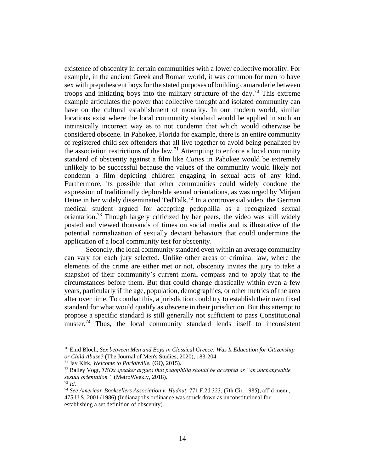existence of obscenity in certain communities with a lower collective morality. For example, in the ancient Greek and Roman world, it was common for men to have sex with prepubescent boys for the stated purposes of building camaraderie between troops and initiating boys into the military structure of the day.<sup>70</sup> This extreme example articulates the power that collective thought and isolated community can have on the cultural establishment of morality. In our modern world, similar locations exist where the local community standard would be applied in such an intrinsically incorrect way as to not condemn that which would otherwise be considered obscene. In Pahokee, Florida for example, there is an entire community of registered child sex offenders that all live together to avoid being penalized by the association restrictions of the law.<sup>71</sup> Attempting to enforce a local community standard of obscenity against a film like *Cuties* in Pahokee would be extremely unlikely to be successful because the values of the community would likely not condemn a film depicting children engaging in sexual acts of any kind. Furthermore, its possible that other communities could widely condone the expression of traditionally deplorable sexual orientations, as was urged by Mirjam Heine in her widely disseminated TedTalk.<sup>72</sup> In a controversial video, the German medical student argued for accepting pedophilia as a recognized sexual orientation.<sup>73</sup> Though largely criticized by her peers, the video was still widely posted and viewed thousands of times on social media and is illustrative of the potential normalization of sexually deviant behaviors that could undermine the application of a local community test for obscenity.

Secondly, the local community standard even within an average community can vary for each jury selected. Unlike other areas of criminal law, where the elements of the crime are either met or not, obscenity invites the jury to take a snapshot of their community's current moral compass and to apply that to the circumstances before them. But that could change drastically within even a few years, particularly if the age, population, demographics, or other metrics of the area alter over time. To combat this, a jurisdiction could try to establish their own fixed standard for what would qualify as obscene in their jurisdiction. But this attempt to propose a specific standard is still generally not sufficient to pass Constitutional muster.<sup>74</sup> Thus, the local community standard lends itself to inconsistent

<sup>70</sup> Enid Bloch, *Sex between Men and Boys in Classical Greece: Was It Education for Citizenship or Child Abuse?* (The Journal of Men's Studies, 2020), 183-204.

<sup>71</sup> Jay Kirk, *Welcome to Pariahville.* (GQ, 2015).

<sup>72</sup> Bailey Vogt, *TEDx speaker argues that pedophilia should be accepted as "an unchangeable sexual orientation."* (MetroWeekly, 2018).

<sup>73</sup> *Id.* 

<sup>74</sup> *See American Booksellers Association v. Hudnut,* 771 F.2d 323, (7th Cir. 1985), aff'd mem., 475 U.S. 2001 (1986) (Indianapolis ordinance was struck down as unconstitutional for establishing a set definition of obscenity).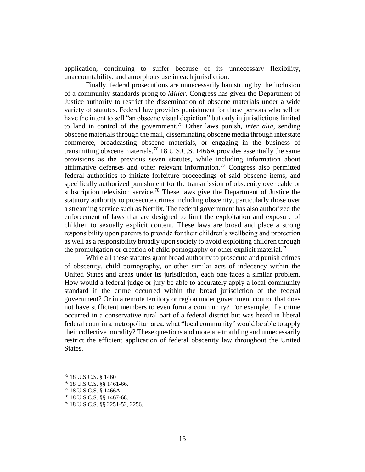application, continuing to suffer because of its unnecessary flexibility, unaccountability, and amorphous use in each jurisdiction.

Finally, federal prosecutions are unnecessarily hamstrung by the inclusion of a community standards prong to *Miller*. Congress has given the Department of Justice authority to restrict the dissemination of obscene materials under a wide variety of statutes. Federal law provides punishment for those persons who sell or have the intent to sell "an obscene visual depiction" but only in jurisdictions limited to land in control of the government.<sup>75</sup> Other laws punish, *inter alia*, sending obscene materials through the mail, disseminating obscene media through interstate commerce, broadcasting obscene materials, or engaging in the business of transmitting obscene materials.<sup>76</sup> 18 U.S.C.S. 1466A provides essentially the same provisions as the previous seven statutes, while including information about affirmative defenses and other relevant information.<sup>77</sup> Congress also permitted federal authorities to initiate forfeiture proceedings of said obscene items, and specifically authorized punishment for the transmission of obscenity over cable or subscription television service.<sup>78</sup> These laws give the Department of Justice the statutory authority to prosecute crimes including obscenity, particularly those over a streaming service such as Netflix. The federal government has also authorized the enforcement of laws that are designed to limit the exploitation and exposure of children to sexually explicit content. These laws are broad and place a strong responsibility upon parents to provide for their children's wellbeing and protection as well as a responsibility broadly upon society to avoid exploiting children through the promulgation or creation of child pornography or other explicit material.<sup>79</sup>

While all these statutes grant broad authority to prosecute and punish crimes of obscenity, child pornography, or other similar acts of indecency within the United States and areas under its jurisdiction, each one faces a similar problem. How would a federal judge or jury be able to accurately apply a local community standard if the crime occurred within the broad jurisdiction of the federal government? Or in a remote territory or region under government control that does not have sufficient members to even form a community? For example, if a crime occurred in a conservative rural part of a federal district but was heard in liberal federal court in a metropolitan area, what "local community" would be able to apply their collective morality? These questions and more are troubling and unnecessarily restrict the efficient application of federal obscenity law throughout the United States.

<sup>75</sup> 18 U.S.C.S. § 1460

<sup>76</sup> 18 U.S.C.S. §§ 1461-66.

<sup>77</sup> 18 U.S.C.S. § 1466A

<sup>78</sup> 18 U.S.C.S. §§ 1467-68.

<sup>79</sup> 18 U.S.C.S. §§ 2251-52, 2256.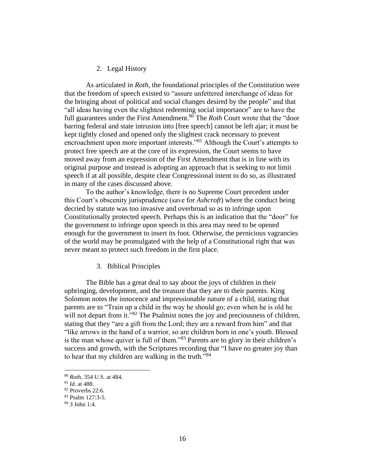# 2. Legal History

As articulated in *Roth*, the foundational principles of the Constitution were that the freedom of speech existed to "assure unfettered interchange of ideas for the bringing about of political and social changes desired by the people" and that "all ideas having even the slightest redeeming social importance" are to have the full guarantees under the First Amendment.<sup>80</sup> The *Roth* Court wrote that the "door" barring federal and state intrusion into [free speech] cannot be left ajar; it must be kept tightly closed and opened only the slightest crack necessary to prevent encroachment upon more important interests."<sup>81</sup> Although the Court's attempts to protect free speech are at the core of its expression, the Court seems to have moved away from an expression of the First Amendment that is in line with its original purpose and instead is adopting an approach that is seeking to not limit speech if at all possible, despite clear Congressional intent to do so, as illustrated in many of the cases discussed above.

To the author's knowledge, there is no Supreme Court precedent under this Court's obscenity jurisprudence (save for *Ashcroft*) where the conduct being decried by statute was too invasive and overbroad so as to infringe upon Constitutionally protected speech. Perhaps this is an indication that the "door" for the government to infringe upon speech in this area may need to be opened enough for the government to insert its foot. Otherwise, the pernicious vagrancies of the world may be promulgated with the help of a Constitutional right that was never meant to protect such freedom in the first place.

## 3. Biblical Principles

The Bible has a great deal to say about the joys of children in their upbringing, development, and the treasure that they are to their parents. King Solomon notes the innocence and impressionable nature of a child, stating that parents are to "Train up a child in the way he should go; even when he is old he will not depart from it."<sup>82</sup> The Psalmist notes the joy and preciousness of children, stating that they "are a gift from the Lord; they are a reward from him" and that "like arrows in the hand of a warrior, so are children born in one's youth. Blessed is the man whose quiver is full of them."<sup>83</sup> Parents are to glory in their children's success and growth, with the Scriptures recording that "I have no greater joy than to hear that my children are walking in the truth."<sup>84</sup>

<sup>80</sup> *Roth*, 354 U.S. at 484.

<sup>81</sup> *Id.* at 488.

<sup>82</sup> Proverbs 22:6.

<sup>83</sup> Psalm 127:3-5.

<sup>84</sup> 3 John 1:4.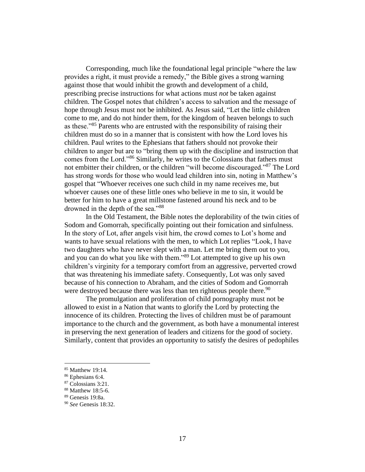Corresponding, much like the foundational legal principle "where the law provides a right, it must provide a remedy," the Bible gives a strong warning against those that would inhibit the growth and development of a child, prescribing precise instructions for what actions must *not* be taken against children. The Gospel notes that children's access to salvation and the message of hope through Jesus must not be inhibited. As Jesus said, "Let the little children come to me, and do not hinder them, for the kingdom of heaven belongs to such as these."<sup>85</sup> Parents who are entrusted with the responsibility of raising their children must do so in a manner that is consistent with how the Lord loves his children. Paul writes to the Ephesians that fathers should not provoke their children to anger but are to "bring them up with the discipline and instruction that comes from the Lord."<sup>86</sup> Similarly, he writes to the Colossians that fathers must not embitter their children, or the children "will become discouraged."<sup>87</sup> The Lord has strong words for those who would lead children into sin, noting in Matthew's gospel that "Whoever receives one such child in my name receives me, but whoever causes one of these little ones who believe in me to sin, it would be better for him to have a great millstone fastened around his neck and to be drowned in the depth of the sea."<sup>88</sup>

In the Old Testament, the Bible notes the deplorability of the twin cities of Sodom and Gomorrah, specifically pointing out their fornication and sinfulness. In the story of Lot, after angels visit him, the crowd comes to Lot's home and wants to have sexual relations with the men, to which Lot replies "Look, I have two daughters who have never slept with a man. Let me bring them out to you, and you can do what you like with them."<sup>89</sup> Lot attempted to give up his own children's virginity for a temporary comfort from an aggressive, perverted crowd that was threatening his immediate safety. Consequently, Lot was only saved because of his connection to Abraham, and the cities of Sodom and Gomorrah were destroyed because there was less than ten righteous people there.<sup>90</sup>

The promulgation and proliferation of child pornography must not be allowed to exist in a Nation that wants to glorify the Lord by protecting the innocence of its children. Protecting the lives of children must be of paramount importance to the church and the government, as both have a monumental interest in preserving the next generation of leaders and citizens for the good of society. Similarly, content that provides an opportunity to satisfy the desires of pedophiles

<sup>85</sup> Matthew 19:14.

<sup>86</sup> Ephesians 6:4.

<sup>&</sup>lt;sup>87</sup> Colossians 3:21.

<sup>88</sup> Matthew 18:5-6.

<sup>89</sup> Genesis 19:8a.

<sup>90</sup> *See* Genesis 18:32.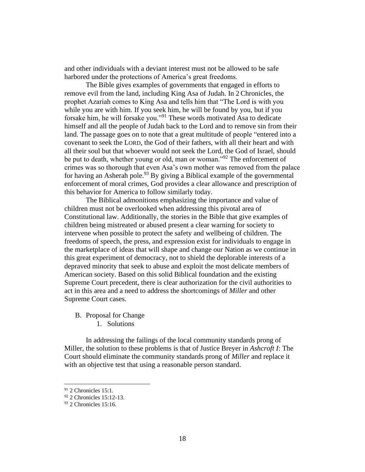and other individuals with a deviant interest must not be allowed to be safe harbored under the protections of America's great freedoms.

The Bible gives examples of governments that engaged in efforts to remove evil from the land, including King Asa of Judah. In 2 Chronicles, the prophet Azariah comes to King Asa and tells him that "The Lord is with you while you are with him. If you seek him, he will be found by you, but if you forsake him, he will forsake you."<sup>91</sup> These words motivated Asa to dedicate himself and all the people of Judah back to the Lord and to remove sin from their land. The passage goes on to note that a great multitude of people "entered into a covenant to seek the LORD, the God of their fathers, with all their heart and with all their soul but that whoever would not seek the Lord, the God of Israel, should be put to death, whether young or old, man or woman."<sup>92</sup> The enforcement of crimes was so thorough that even Asa's own mother was removed from the palace for having an Asherah pole.<sup>93</sup> By giving a Biblical example of the governmental enforcement of moral crimes, God provides a clear allowance and prescription of this behavior for America to follow similarly today.

The Biblical admonitions emphasizing the importance and value of children must not be overlooked when addressing this pivotal area of Constitutional law. Additionally, the stories in the Bible that give examples of children being mistreated or abused present a clear warning for society to intervene when possible to protect the safety and wellbeing of children. The freedoms of speech, the press, and expression exist for individuals to engage in the marketplace of ideas that will shape and change our Nation as we continue in this great experiment of democracy, not to shield the deplorable interests of a depraved minority that seek to abuse and exploit the most delicate members of American society. Based on this solid Biblical foundation and the existing Supreme Court precedent, there is clear authorization for the civil authorities to act in this area and a need to address the shortcomings of *Miller* and other Supreme Court cases.

B. Proposal for Change 1. Solutions

In addressing the failings of the local community standards prong of Miller, the solution to these problems is that of Justice Breyer in *Ashcroft I*: The Court should eliminate the community standards prong of *Miller* and replace it with an objective test that using a reasonable person standard.

<sup>91</sup> 2 Chronicles 15:1.

<sup>92</sup> 2 Chronicles 15:12-13.

 $93$  2 Chronicles 15:16.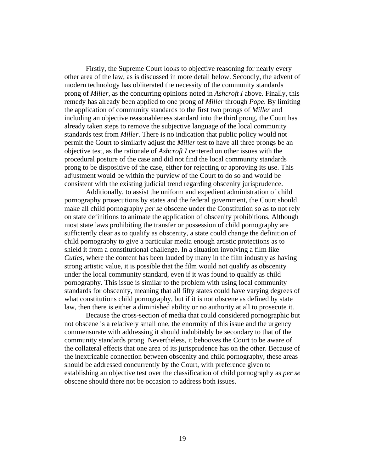Firstly, the Supreme Court looks to objective reasoning for nearly every other area of the law, as is discussed in more detail below. Secondly, the advent of modern technology has obliterated the necessity of the community standards prong of *Miller*, as the concurring opinions noted in *Ashcroft I* above. Finally, this remedy has already been applied to one prong of *Miller* through *Pope*. By limiting the application of community standards to the first two prongs of *Miller* and including an objective reasonableness standard into the third prong, the Court has already taken steps to remove the subjective language of the local community standards test from *Miller*. There is no indication that public policy would not permit the Court to similarly adjust the *Miller* test to have all three prongs be an objective test, as the rationale of *Ashcroft I* centered on other issues with the procedural posture of the case and did not find the local community standards prong to be dispositive of the case, either for rejecting or approving its use. This adjustment would be within the purview of the Court to do so and would be consistent with the existing judicial trend regarding obscenity jurisprudence.

Additionally, to assist the uniform and expedient administration of child pornography prosecutions by states and the federal government, the Court should make all child pornography *per se* obscene under the Constitution so as to not rely on state definitions to animate the application of obscenity prohibitions. Although most state laws prohibiting the transfer or possession of child pornography are sufficiently clear as to qualify as obscenity, a state could change the definition of child pornography to give a particular media enough artistic protections as to shield it from a constitutional challenge. In a situation involving a film like *Cuties*, where the content has been lauded by many in the film industry as having strong artistic value, it is possible that the film would not qualify as obscenity under the local community standard, even if it was found to qualify as child pornography. This issue is similar to the problem with using local community standards for obscenity, meaning that all fifty states could have varying degrees of what constitutions child pornography, but if it is not obscene as defined by state law, then there is either a diminished ability or no authority at all to prosecute it.

Because the cross-section of media that could considered pornographic but not obscene is a relatively small one, the enormity of this issue and the urgency commensurate with addressing it should indubitably be secondary to that of the community standards prong. Nevertheless, it behooves the Court to be aware of the collateral effects that one area of its jurisprudence has on the other. Because of the inextricable connection between obscenity and child pornography, these areas should be addressed concurrently by the Court, with preference given to establishing an objective test over the classification of child pornography as *per se*  obscene should there not be occasion to address both issues.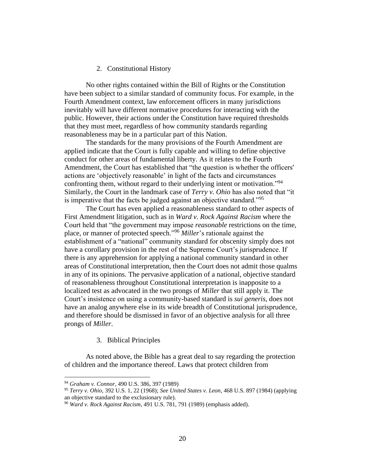#### 2. Constitutional History

No other rights contained within the Bill of Rights or the Constitution have been subject to a similar standard of community focus. For example, in the Fourth Amendment context, law enforcement officers in many jurisdictions inevitably will have different normative procedures for interacting with the public. However, their actions under the Constitution have required thresholds that they must meet, regardless of how community standards regarding reasonableness may be in a particular part of this Nation.

The standards for the many provisions of the Fourth Amendment are applied indicate that the Court is fully capable and willing to define objective conduct for other areas of fundamental liberty. As it relates to the Fourth Amendment, the Court has established that "the question is whether the officers' actions are 'objectively reasonable' in light of the facts and circumstances confronting them, without regard to their underlying intent or motivation."<sup>94</sup> Similarly, the Court in the landmark case of *Terry v. Ohio* has also noted that "it is imperative that the facts be judged against an objective standard."<sup>95</sup>

The Court has even applied a reasonableness standard to other aspects of First Amendment litigation, such as in *Ward v. Rock Against Racism* where the Court held that "the government may impose *reasonable* restrictions on the time, place, or manner of protected speech."<sup>96</sup> *Miller*'s rationale against the establishment of a "national" community standard for obscenity simply does not have a corollary provision in the rest of the Supreme Court's jurisprudence. If there is any apprehension for applying a national community standard in other areas of Constitutional interpretation, then the Court does not admit those qualms in any of its opinions. The pervasive application of a national, objective standard of reasonableness throughout Constitutional interpretation is inapposite to a localized test as advocated in the two prongs of *Miller* that still apply it. The Court's insistence on using a community-based standard is *sui generis*, does not have an analog anywhere else in its wide breadth of Constitutional jurisprudence, and therefore should be dismissed in favor of an objective analysis for all three prongs of *Miller*.

#### 3. Biblical Principles

As noted above, the Bible has a great deal to say regarding the protection of children and the importance thereof. Laws that protect children from

<sup>94</sup> *Graham v. Connor*, 490 U.S. 386, 397 (1989)

<sup>95</sup> *Terry v. Ohio*, 392 U.S. 1, 22 (1968); *See United States v. Leon*, 468 U.S. 897 (1984) (applying an objective standard to the exclusionary rule).

<sup>96</sup> *Ward v. Rock Against Racism*, 491 U.S. 781, 791 (1989) (emphasis added).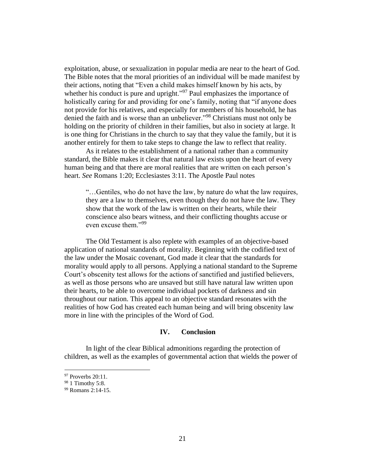exploitation, abuse, or sexualization in popular media are near to the heart of God. The Bible notes that the moral priorities of an individual will be made manifest by their actions, noting that "Even a child makes himself known by his acts, by whether his conduct is pure and upright."<sup>97</sup> Paul emphasizes the importance of holistically caring for and providing for one's family, noting that "if anyone does not provide for his relatives, and especially for members of his household, he has denied the faith and is worse than an unbeliever."<sup>98</sup> Christians must not only be holding on the priority of children in their families, but also in society at large. It is one thing for Christians in the church to say that they value the family, but it is another entirely for them to take steps to change the law to reflect that reality.

As it relates to the establishment of a national rather than a community standard, the Bible makes it clear that natural law exists upon the heart of every human being and that there are moral realities that are written on each person's heart. *See* Romans 1:20; Ecclesiastes 3:11. The Apostle Paul notes

"…Gentiles, who do not have the law, by nature do what the law requires, they are a law to themselves, even though they do not have the law. They show that the work of the law is written on their hearts, while their conscience also bears witness, and their conflicting thoughts accuse or even excuse them."<sup>99</sup>

The Old Testament is also replete with examples of an objective-based application of national standards of morality. Beginning with the codified text of the law under the Mosaic covenant, God made it clear that the standards for morality would apply to all persons. Applying a national standard to the Supreme Court's obscenity test allows for the actions of sanctified and justified believers, as well as those persons who are unsaved but still have natural law written upon their hearts, to be able to overcome individual pockets of darkness and sin throughout our nation. This appeal to an objective standard resonates with the realities of how God has created each human being and will bring obscenity law more in line with the principles of the Word of God.

#### **IV. Conclusion**

In light of the clear Biblical admonitions regarding the protection of children, as well as the examples of governmental action that wields the power of

 $97$  Proverbs 20:11.

<sup>&</sup>lt;sup>98</sup> 1 Timothy 5:8.

<sup>99</sup> Romans 2:14-15.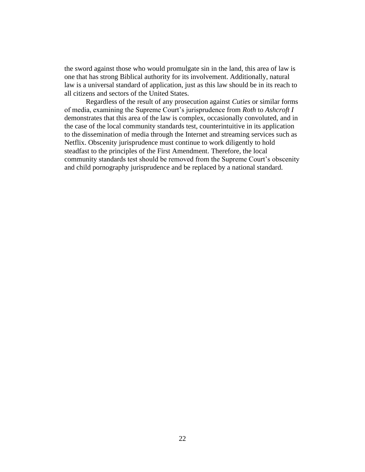the sword against those who would promulgate sin in the land, this area of law is one that has strong Biblical authority for its involvement. Additionally, natural law is a universal standard of application, just as this law should be in its reach to all citizens and sectors of the United States.

Regardless of the result of any prosecution against *Cuties* or similar forms of media, examining the Supreme Court's jurisprudence from *Roth* to *Ashcroft I*  demonstrates that this area of the law is complex, occasionally convoluted, and in the case of the local community standards test, counterintuitive in its application to the dissemination of media through the Internet and streaming services such as Netflix. Obscenity jurisprudence must continue to work diligently to hold steadfast to the principles of the First Amendment. Therefore, the local community standards test should be removed from the Supreme Court's obscenity and child pornography jurisprudence and be replaced by a national standard.